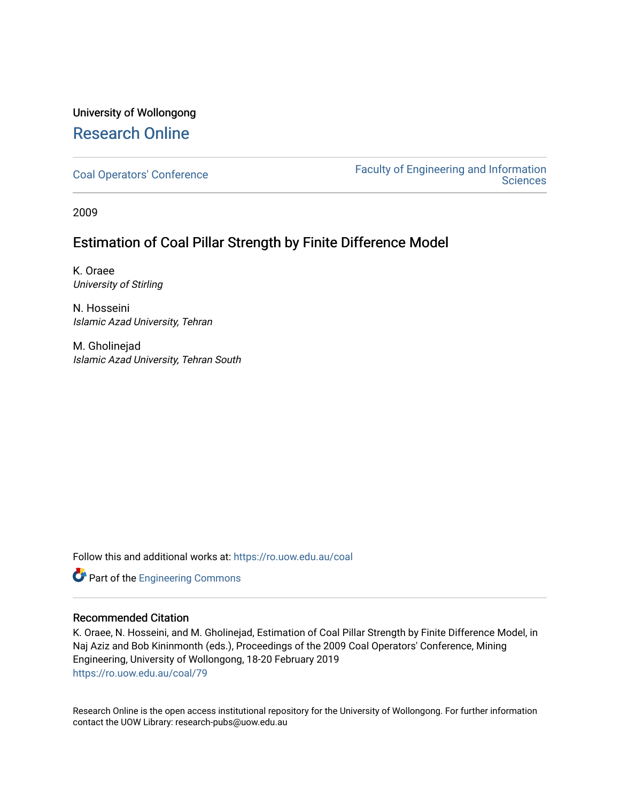### University of Wollongong [Research Online](https://ro.uow.edu.au/)

[Coal Operators' Conference](https://ro.uow.edu.au/coal) [Faculty of Engineering and Information](https://ro.uow.edu.au/eis)  **Sciences** 

2009

### Estimation of Coal Pillar Strength by Finite Difference Model

K. Oraee University of Stirling

N. Hosseini Islamic Azad University, Tehran

M. Gholinejad Islamic Azad University, Tehran South

Follow this and additional works at: [https://ro.uow.edu.au/coal](https://ro.uow.edu.au/coal?utm_source=ro.uow.edu.au%2Fcoal%2F79&utm_medium=PDF&utm_campaign=PDFCoverPages) 

Part of the [Engineering Commons](http://network.bepress.com/hgg/discipline/217?utm_source=ro.uow.edu.au%2Fcoal%2F79&utm_medium=PDF&utm_campaign=PDFCoverPages)

#### Recommended Citation

K. Oraee, N. Hosseini, and M. Gholinejad, Estimation of Coal Pillar Strength by Finite Difference Model, in Naj Aziz and Bob Kininmonth (eds.), Proceedings of the 2009 Coal Operators' Conference, Mining Engineering, University of Wollongong, 18-20 February 2019 [https://ro.uow.edu.au/coal/79](https://ro.uow.edu.au/coal/79?utm_source=ro.uow.edu.au%2Fcoal%2F79&utm_medium=PDF&utm_campaign=PDFCoverPages) 

Research Online is the open access institutional repository for the University of Wollongong. For further information contact the UOW Library: research-pubs@uow.edu.au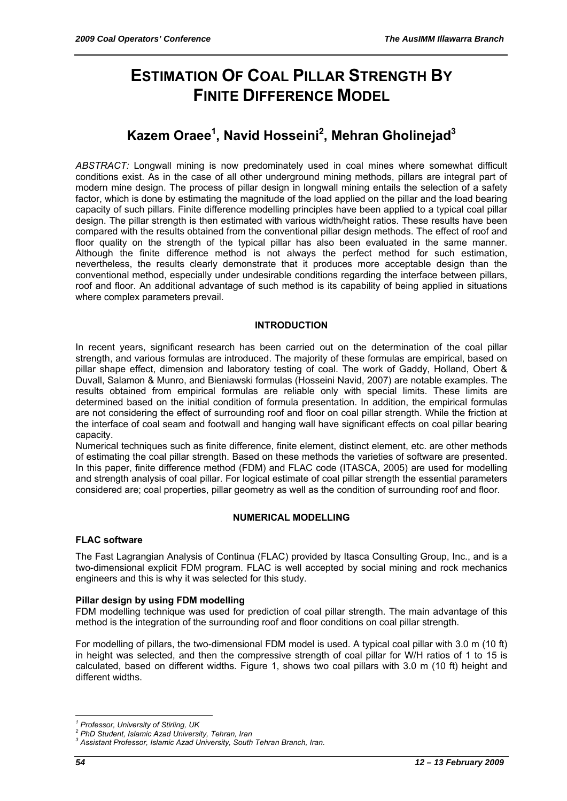# **ESTIMATION OF COAL PILLAR STRENGTH BY FINITE DIFFERENCE MODEL**

## **Kazem Oraee1 , Navid Hosseini<sup>2</sup> , Mehran Gholinejad3**

*ABSTRACT:* Longwall mining is now predominately used in coal mines where somewhat difficult conditions exist. As in the case of all other underground mining methods, pillars are integral part of modern mine design. The process of pillar design in longwall mining entails the selection of a safety factor, which is done by estimating the magnitude of the load applied on the pillar and the load bearing capacity of such pillars. Finite difference modelling principles have been applied to a typical coal pillar design. The pillar strength is then estimated with various width/height ratios. These results have been compared with the results obtained from the conventional pillar design methods. The effect of roof and floor quality on the strength of the typical pillar has also been evaluated in the same manner. Although the finite difference method is not always the perfect method for such estimation, nevertheless, the results clearly demonstrate that it produces more acceptable design than the conventional method, especially under undesirable conditions regarding the interface between pillars, roof and floor. An additional advantage of such method is its capability of being applied in situations where complex parameters prevail.

#### **INTRODUCTION**

In recent years, significant research has been carried out on the determination of the coal pillar strength, and various formulas are introduced. The majority of these formulas are empirical, based on pillar shape effect, dimension and laboratory testing of coal. The work of Gaddy, Holland, Obert & Duvall, Salamon & Munro, and Bieniawski formulas (Hosseini Navid, 2007) are notable examples. The results obtained from empirical formulas are reliable only with special limits. These limits are determined based on the initial condition of formula presentation. In addition, the empirical formulas are not considering the effect of surrounding roof and floor on coal pillar strength. While the friction at the interface of coal seam and footwall and hanging wall have significant effects on coal pillar bearing capacity.

Numerical techniques such as finite difference, finite element, distinct element, etc. are other methods of estimating the coal pillar strength. Based on these methods the varieties of software are presented. In this paper, finite difference method (FDM) and FLAC code (ITASCA, 2005) are used for modelling and strength analysis of coal pillar. For logical estimate of coal pillar strength the essential parameters considered are; coal properties, pillar geometry as well as the condition of surrounding roof and floor.

#### **NUMERICAL MODELLING**

#### **FLAC software**

The Fast Lagrangian Analysis of Continua (FLAC) provided by Itasca Consulting Group, Inc., and is a two-dimensional explicit FDM program. FLAC is well accepted by social mining and rock mechanics engineers and this is why it was selected for this study.

#### **Pillar design by using FDM modelling**

FDM modelling technique was used for prediction of coal pillar strength. The main advantage of this method is the integration of the surrounding roof and floor conditions on coal pillar strength.

For modelling of pillars, the two-dimensional FDM model is used. A typical coal pillar with 3.0 m (10 ft) in height was selected, and then the compressive strength of coal pillar for W/H ratios of 1 to 15 is calculated, based on different widths. Figure 1, shows two coal pillars with 3.0 m (10 ft) height and different widths.

 $\overline{a}$ *1 Professor, University of Stirling, UK* 

*<sup>2</sup> PhD Student, Islamic Azad University, Tehran, Iran* 

*<sup>3</sup> Assistant Professor, Islamic Azad University, South Tehran Branch, Iran.*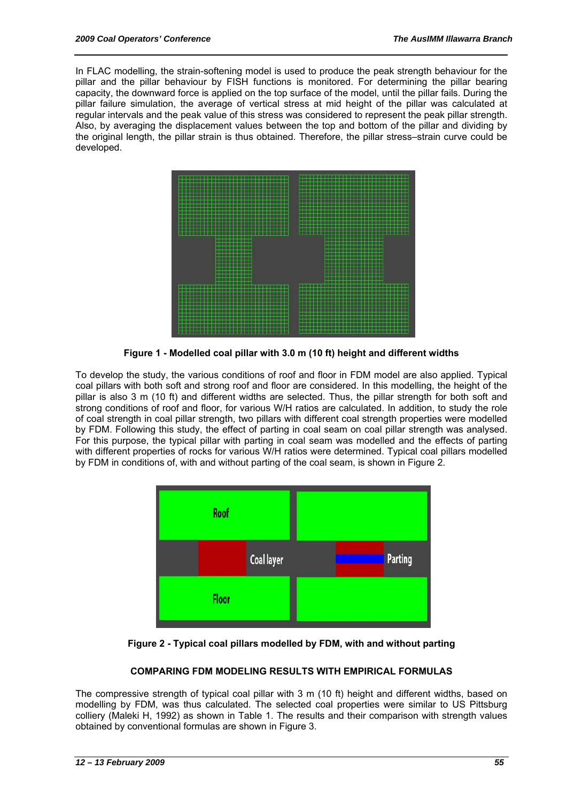In FLAC modelling, the strain-softening model is used to produce the peak strength behaviour for the pillar and the pillar behaviour by FISH functions is monitored. For determining the pillar bearing capacity, the downward force is applied on the top surface of the model, until the pillar fails. During the pillar failure simulation, the average of vertical stress at mid height of the pillar was calculated at regular intervals and the peak value of this stress was considered to represent the peak pillar strength. Also, by averaging the displacement values between the top and bottom of the pillar and dividing by the original length, the pillar strain is thus obtained. Therefore, the pillar stress–strain curve could be developed.



**Figure 1 - Modelled coal pillar with 3.0 m (10 ft) height and different widths** 

To develop the study, the various conditions of roof and floor in FDM model are also applied. Typical coal pillars with both soft and strong roof and floor are considered. In this modelling, the height of the pillar is also 3 m (10 ft) and different widths are selected. Thus, the pillar strength for both soft and strong conditions of roof and floor, for various W/H ratios are calculated. In addition, to study the role of coal strength in coal pillar strength, two pillars with different coal strength properties were modelled by FDM. Following this study, the effect of parting in coal seam on coal pillar strength was analysed. For this purpose, the typical pillar with parting in coal seam was modelled and the effects of parting with different properties of rocks for various W/H ratios were determined. Typical coal pillars modelled by FDM in conditions of, with and without parting of the coal seam, is shown in Figure 2.





#### **COMPARING FDM MODELING RESULTS WITH EMPIRICAL FORMULAS**

The compressive strength of typical coal pillar with 3 m (10 ft) height and different widths, based on modelling by FDM, was thus calculated. The selected coal properties were similar to US Pittsburg colliery (Maleki H, 1992) as shown in Table 1. The results and their comparison with strength values obtained by conventional formulas are shown in Figure 3.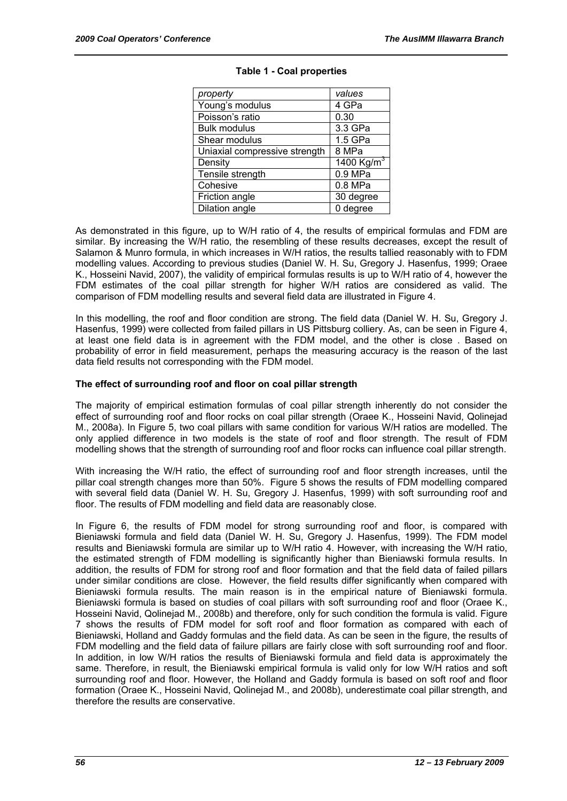| property                      | values                   |
|-------------------------------|--------------------------|
| Young's modulus               | 4 GPa                    |
| Poisson's ratio               | 0.30                     |
| <b>Bulk modulus</b>           | 3.3 GPa                  |
| Shear modulus                 | 1.5 GPa                  |
| Uniaxial compressive strength | 8 MPa                    |
| Density                       | $1400$ Kg/m <sup>3</sup> |
| Tensile strength              | 0.9 MPa                  |
| Cohesive                      | 0.8 MPa                  |
| Friction angle                | 30 degree                |
| Dilation angle                | 0 degree                 |
|                               |                          |

#### **Table 1 - Coal properties**

As demonstrated in this figure, up to W/H ratio of 4, the results of empirical formulas and FDM are similar. By increasing the W/H ratio, the resembling of these results decreases, except the result of Salamon & Munro formula, in which increases in W/H ratios, the results tallied reasonably with to FDM modelling values. According to previous studies (Daniel W. H. Su, Gregory J. Hasenfus, 1999; Oraee K., Hosseini Navid, 2007), the validity of empirical formulas results is up to W/H ratio of 4, however the FDM estimates of the coal pillar strength for higher W/H ratios are considered as valid. The comparison of FDM modelling results and several field data are illustrated in Figure 4.

In this modelling, the roof and floor condition are strong. The field data (Daniel W. H. Su, Gregory J. Hasenfus, 1999) were collected from failed pillars in US Pittsburg colliery. As, can be seen in Figure 4, at least one field data is in agreement with the FDM model, and the other is close . Based on probability of error in field measurement, perhaps the measuring accuracy is the reason of the last data field results not corresponding with the FDM model.

#### **The effect of surrounding roof and floor on coal pillar strength**

The majority of empirical estimation formulas of coal pillar strength inherently do not consider the effect of surrounding roof and floor rocks on coal pillar strength (Oraee K., Hosseini Navid, Qolinejad M., 2008a). In Figure 5, two coal pillars with same condition for various W/H ratios are modelled. The only applied difference in two models is the state of roof and floor strength. The result of FDM modelling shows that the strength of surrounding roof and floor rocks can influence coal pillar strength.

With increasing the W/H ratio, the effect of surrounding roof and floor strength increases, until the pillar coal strength changes more than 50%. Figure 5 shows the results of FDM modelling compared with several field data (Daniel W. H. Su, Gregory J. Hasenfus, 1999) with soft surrounding roof and floor. The results of FDM modelling and field data are reasonably close.

In Figure 6, the results of FDM model for strong surrounding roof and floor, is compared with Bieniawski formula and field data (Daniel W. H. Su, Gregory J. Hasenfus, 1999). The FDM model results and Bieniawski formula are similar up to W/H ratio 4. However, with increasing the W/H ratio, the estimated strength of FDM modelling is significantly higher than Bieniawski formula results. In addition, the results of FDM for strong roof and floor formation and that the field data of failed pillars under similar conditions are close. However, the field results differ significantly when compared with Bieniawski formula results. The main reason is in the empirical nature of Bieniawski formula. Bieniawski formula is based on studies of coal pillars with soft surrounding roof and floor (Oraee K., Hosseini Navid, Qolinejad M., 2008b) and therefore, only for such condition the formula is valid. Figure 7 shows the results of FDM model for soft roof and floor formation as compared with each of Bieniawski, Holland and Gaddy formulas and the field data. As can be seen in the figure, the results of FDM modelling and the field data of failure pillars are fairly close with soft surrounding roof and floor. In addition, in low W/H ratios the results of Bieniawski formula and field data is approximately the same. Therefore, in result, the Bieniawski empirical formula is valid only for low W/H ratios and soft surrounding roof and floor. However, the Holland and Gaddy formula is based on soft roof and floor formation (Oraee K., Hosseini Navid, Qolinejad M., and 2008b), underestimate coal pillar strength, and therefore the results are conservative.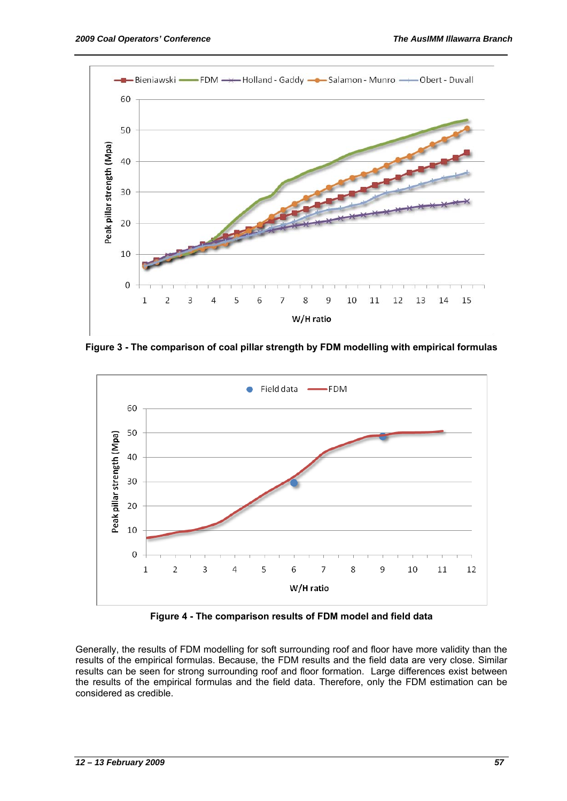

**Figure 3 - The comparison of coal pillar strength by FDM modelling with empirical formulas** 



**Figure 4 - The comparison results of FDM model and field data** 

Generally, the results of FDM modelling for soft surrounding roof and floor have more validity than the results of the empirical formulas. Because, the FDM results and the field data are very close. Similar results can be seen for strong surrounding roof and floor formation. Large differences exist between the results of the empirical formulas and the field data. Therefore, only the FDM estimation can be considered as credible.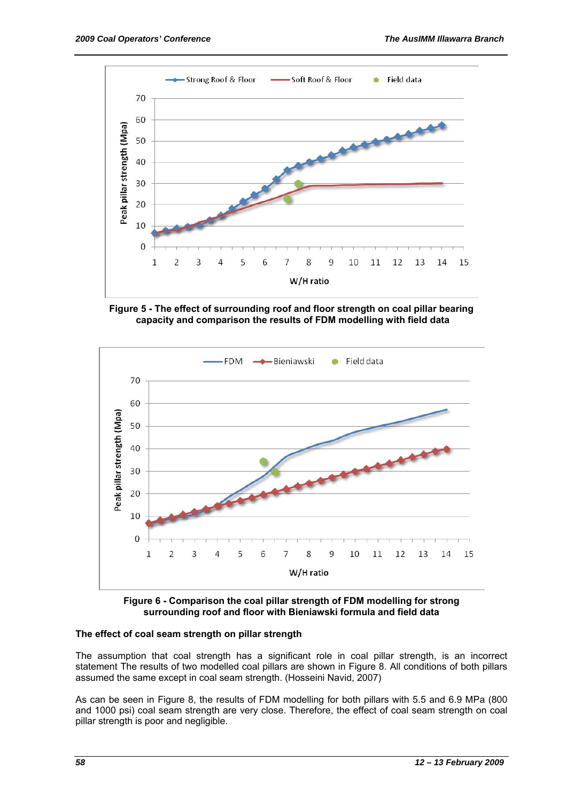

**Figure 5 - The effect of surrounding roof and floor strength on coal pillar bearing capacity and comparison the results of FDM modelling with field data** 



**Figure 6 - Comparison the coal pillar strength of FDM modelling for strong surrounding roof and floor with Bieniawski formula and field data** 

#### **The effect of coal seam strength on pillar strength**

The assumption that coal strength has a significant role in coal pillar strength, is an incorrect statement The results of two modelled coal pillars are shown in Figure 8. All conditions of both pillars assumed the same except in coal seam strength. (Hosseini Navid, 2007)

As can be seen in Figure 8, the results of FDM modelling for both pillars with 5.5 and 6.9 MPa (800 and 1000 psi) coal seam strength are very close. Therefore, the effect of coal seam strength on coal pillar strength is poor and negligible.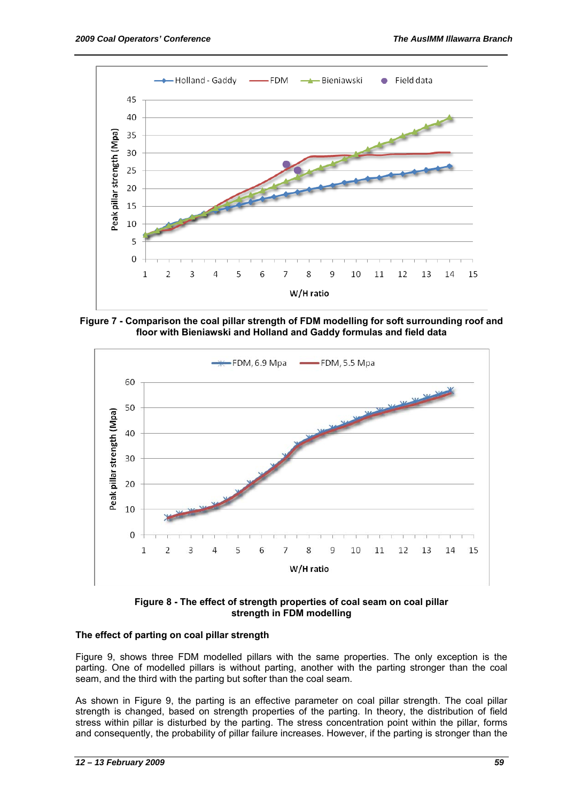

**Figure 7 - Comparison the coal pillar strength of FDM modelling for soft surrounding roof and floor with Bieniawski and Holland and Gaddy formulas and field data** 



**Figure 8 - The effect of strength properties of coal seam on coal pillar strength in FDM modelling** 

#### **The effect of parting on coal pillar strength**

Figure 9, shows three FDM modelled pillars with the same properties. The only exception is the parting. One of modelled pillars is without parting, another with the parting stronger than the coal seam, and the third with the parting but softer than the coal seam.

As shown in Figure 9, the parting is an effective parameter on coal pillar strength. The coal pillar strength is changed, based on strength properties of the parting. In theory, the distribution of field stress within pillar is disturbed by the parting. The stress concentration point within the pillar, forms and consequently, the probability of pillar failure increases. However, if the parting is stronger than the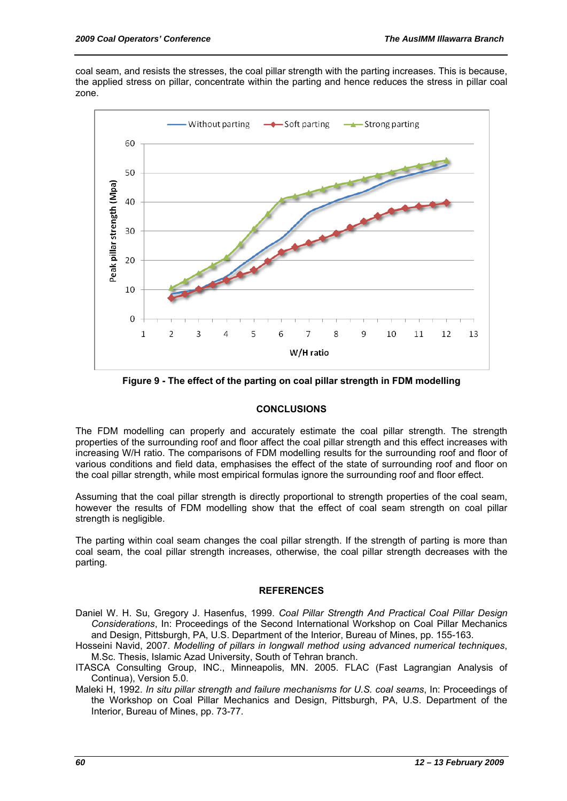coal seam, and resists the stresses, the coal pillar strength with the parting increases. This is because, the applied stress on pillar, concentrate within the parting and hence reduces the stress in pillar coal zone.



**Figure 9 - The effect of the parting on coal pillar strength in FDM modelling** 

#### **CONCLUSIONS**

The FDM modelling can properly and accurately estimate the coal pillar strength. The strength properties of the surrounding roof and floor affect the coal pillar strength and this effect increases with increasing W/H ratio. The comparisons of FDM modelling results for the surrounding roof and floor of various conditions and field data, emphasises the effect of the state of surrounding roof and floor on the coal pillar strength, while most empirical formulas ignore the surrounding roof and floor effect.

Assuming that the coal pillar strength is directly proportional to strength properties of the coal seam, however the results of FDM modelling show that the effect of coal seam strength on coal pillar strength is negligible.

The parting within coal seam changes the coal pillar strength. If the strength of parting is more than coal seam, the coal pillar strength increases, otherwise, the coal pillar strength decreases with the parting.

#### **REFERENCES**

- Daniel W. H. Su, Gregory J. Hasenfus, 1999. *Coal Pillar Strength And Practical Coal Pillar Design Considerations*, In: Proceedings of the Second International Workshop on Coal Pillar Mechanics and Design, Pittsburgh, PA, U.S. Department of the Interior, Bureau of Mines, pp. 155-163.
- Hosseini Navid, 2007. *Modelling of pillars in longwall method using advanced numerical techniques*, M.Sc. Thesis, Islamic Azad University, South of Tehran branch.
- ITASCA Consulting Group, INC., Minneapolis, MN. 2005. FLAC (Fast Lagrangian Analysis of Continua), Version 5.0.
- Maleki H, 1992. *In situ pillar strength and failure mechanisms for U.S. coal seams*, In: Proceedings of the Workshop on Coal Pillar Mechanics and Design, Pittsburgh, PA, U.S. Department of the Interior, Bureau of Mines, pp. 73-77.